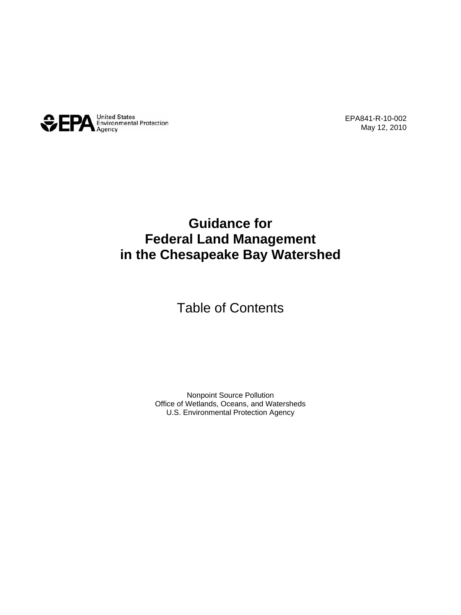

EPA841-R-10-002 May 12, 2010

## **Guidance for Federal Land Management in the Chesapeake Bay Watershed**

Table of Contents

Nonpoint Source Pollution Office of Wetlands, Oceans, and Watersheds U.S. Environmental Protection Agency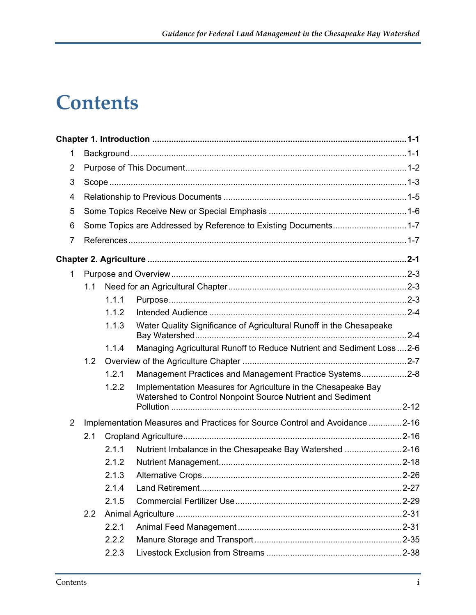## **Contents**

| 1              |               |       |                                                                                                                             |  |  |
|----------------|---------------|-------|-----------------------------------------------------------------------------------------------------------------------------|--|--|
| 2              |               |       |                                                                                                                             |  |  |
| 3              |               |       |                                                                                                                             |  |  |
| 4              |               |       |                                                                                                                             |  |  |
| 5              |               |       |                                                                                                                             |  |  |
| 6              |               |       | Some Topics are Addressed by Reference to Existing Documents1-7                                                             |  |  |
| $\overline{7}$ |               |       |                                                                                                                             |  |  |
|                |               |       |                                                                                                                             |  |  |
| 1              |               |       |                                                                                                                             |  |  |
|                | 1.1           |       |                                                                                                                             |  |  |
|                |               | 1.1.1 |                                                                                                                             |  |  |
|                |               | 1.1.2 |                                                                                                                             |  |  |
|                |               | 1.1.3 | Water Quality Significance of Agricultural Runoff in the Chesapeake                                                         |  |  |
|                |               | 1.1.4 | Managing Agricultural Runoff to Reduce Nutrient and Sediment Loss  2-6                                                      |  |  |
|                | 1.2           |       |                                                                                                                             |  |  |
|                |               | 1.2.1 | Management Practices and Management Practice Systems2-8                                                                     |  |  |
|                |               | 1.2.2 | Implementation Measures for Agriculture in the Chesapeake Bay<br>Watershed to Control Nonpoint Source Nutrient and Sediment |  |  |
| $\overline{2}$ |               |       | Implementation Measures and Practices for Source Control and Avoidance 2-16                                                 |  |  |
|                | 2.1           |       |                                                                                                                             |  |  |
|                |               | 2.1.1 | Nutrient Imbalance in the Chesapeake Bay Watershed 2-16                                                                     |  |  |
|                |               | 2.1.2 |                                                                                                                             |  |  |
|                |               | 2.1.3 |                                                                                                                             |  |  |
|                |               | 2.1.4 |                                                                                                                             |  |  |
|                |               | 2.1.5 |                                                                                                                             |  |  |
|                | $2.2^{\circ}$ |       |                                                                                                                             |  |  |
|                |               | 2.2.1 |                                                                                                                             |  |  |
|                |               | 2.2.2 |                                                                                                                             |  |  |
|                |               | 2.2.3 |                                                                                                                             |  |  |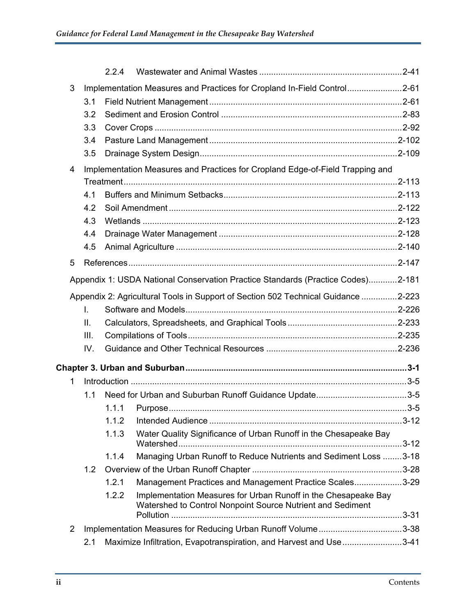|                                                                              |      | 2.2.4 |                                                                                                                              |  |  |  |  |
|------------------------------------------------------------------------------|------|-------|------------------------------------------------------------------------------------------------------------------------------|--|--|--|--|
| 3<br>Implementation Measures and Practices for Cropland In-Field Control2-61 |      |       |                                                                                                                              |  |  |  |  |
|                                                                              | 3.1  |       |                                                                                                                              |  |  |  |  |
|                                                                              | 3.2  |       |                                                                                                                              |  |  |  |  |
|                                                                              | 3.3  |       |                                                                                                                              |  |  |  |  |
|                                                                              | 3.4  |       |                                                                                                                              |  |  |  |  |
|                                                                              | 3.5  |       |                                                                                                                              |  |  |  |  |
| 4                                                                            |      |       | Implementation Measures and Practices for Cropland Edge-of-Field Trapping and                                                |  |  |  |  |
|                                                                              |      |       |                                                                                                                              |  |  |  |  |
|                                                                              | 4.1  |       |                                                                                                                              |  |  |  |  |
|                                                                              | 4.2  |       |                                                                                                                              |  |  |  |  |
|                                                                              | 4.3  |       |                                                                                                                              |  |  |  |  |
|                                                                              | 4.4  |       |                                                                                                                              |  |  |  |  |
|                                                                              | 4.5  |       |                                                                                                                              |  |  |  |  |
| 5                                                                            |      |       |                                                                                                                              |  |  |  |  |
|                                                                              |      |       | Appendix 1: USDA National Conservation Practice Standards (Practice Codes)2-181                                              |  |  |  |  |
|                                                                              |      |       | Appendix 2: Agricultural Tools in Support of Section 502 Technical Guidance 2-223                                            |  |  |  |  |
|                                                                              | I.   |       |                                                                                                                              |  |  |  |  |
|                                                                              | Ш.   |       |                                                                                                                              |  |  |  |  |
|                                                                              | III. |       |                                                                                                                              |  |  |  |  |
|                                                                              | IV.  |       |                                                                                                                              |  |  |  |  |
|                                                                              |      |       |                                                                                                                              |  |  |  |  |
| 1                                                                            |      |       |                                                                                                                              |  |  |  |  |
|                                                                              | 1.1  |       |                                                                                                                              |  |  |  |  |
|                                                                              |      | 1.1.1 |                                                                                                                              |  |  |  |  |
|                                                                              |      | 1.1.2 |                                                                                                                              |  |  |  |  |
|                                                                              |      | 1.1.3 | Water Quality Significance of Urban Runoff in the Chesapeake Bay                                                             |  |  |  |  |
|                                                                              |      | 1.1.4 | Managing Urban Runoff to Reduce Nutrients and Sediment Loss 3-18                                                             |  |  |  |  |
|                                                                              | 1.2  |       |                                                                                                                              |  |  |  |  |
|                                                                              |      | 1.2.1 | Management Practices and Management Practice Scales3-29                                                                      |  |  |  |  |
|                                                                              |      | 1.2.2 | Implementation Measures for Urban Runoff in the Chesapeake Bay<br>Watershed to Control Nonpoint Source Nutrient and Sediment |  |  |  |  |
|                                                                              |      |       |                                                                                                                              |  |  |  |  |
| $\overline{2}$                                                               |      |       | Implementation Measures for Reducing Urban Runoff Volume3-38                                                                 |  |  |  |  |
|                                                                              | 2.1  |       | Maximize Infiltration, Evapotranspiration, and Harvest and Use 3-41                                                          |  |  |  |  |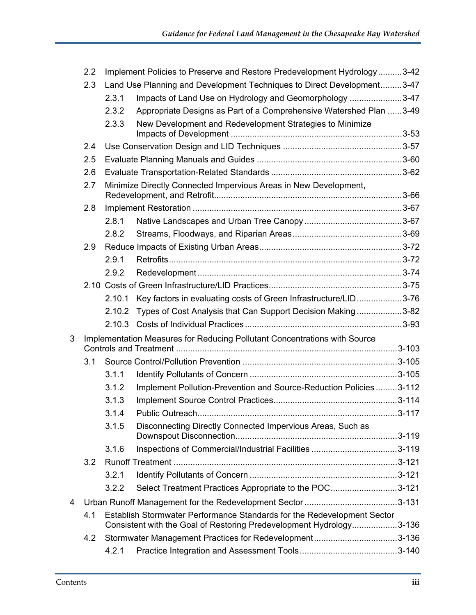|   | Implement Policies to Preserve and Restore Predevelopment Hydrology3-42<br>2.2 |                                                                     |                                                                           |  |
|---|--------------------------------------------------------------------------------|---------------------------------------------------------------------|---------------------------------------------------------------------------|--|
|   | 2.3                                                                            |                                                                     | Land Use Planning and Development Techniques to Direct Development3-47    |  |
|   |                                                                                | 2.3.1                                                               | Impacts of Land Use on Hydrology and Geomorphology 3-47                   |  |
|   |                                                                                | 2.3.2                                                               | Appropriate Designs as Part of a Comprehensive Watershed Plan 3-49        |  |
|   |                                                                                | 2.3.3                                                               | New Development and Redevelopment Strategies to Minimize                  |  |
|   |                                                                                |                                                                     |                                                                           |  |
|   | 2.4                                                                            |                                                                     |                                                                           |  |
|   | 2.5                                                                            |                                                                     |                                                                           |  |
|   | 2.6                                                                            |                                                                     |                                                                           |  |
|   | 2.7                                                                            |                                                                     | Minimize Directly Connected Impervious Areas in New Development,          |  |
|   | 2.8                                                                            |                                                                     |                                                                           |  |
|   |                                                                                | 2.8.1                                                               |                                                                           |  |
|   |                                                                                | 2.8.2                                                               |                                                                           |  |
|   | 2.9                                                                            |                                                                     |                                                                           |  |
|   |                                                                                | 2.9.1                                                               |                                                                           |  |
|   |                                                                                | 2.9.2                                                               |                                                                           |  |
|   |                                                                                |                                                                     |                                                                           |  |
|   |                                                                                |                                                                     | 2.10.1 Key factors in evaluating costs of Green Infrastructure/LID3-76    |  |
|   |                                                                                | 2.10.2                                                              | Types of Cost Analysis that Can Support Decision Making3-82               |  |
|   |                                                                                |                                                                     |                                                                           |  |
| 3 |                                                                                |                                                                     | Implementation Measures for Reducing Pollutant Concentrations with Source |  |
|   | 3.1                                                                            |                                                                     |                                                                           |  |
|   |                                                                                | 3.1.1                                                               |                                                                           |  |
|   |                                                                                | 3.1.2                                                               | Implement Pollution-Prevention and Source-Reduction Policies 3-112        |  |
|   |                                                                                | 3.1.3                                                               |                                                                           |  |
|   |                                                                                | 3.1.4                                                               | Public Outreach                                                           |  |
|   |                                                                                | 3.1.5                                                               | Disconnecting Directly Connected Impervious Areas, Such as                |  |
|   |                                                                                | 3.1.6                                                               |                                                                           |  |
|   | 3.2                                                                            |                                                                     |                                                                           |  |
|   |                                                                                | 3.2.1                                                               |                                                                           |  |
|   |                                                                                | 3.2.2                                                               | Select Treatment Practices Appropriate to the POC3-121                    |  |
| 4 |                                                                                |                                                                     |                                                                           |  |
|   | 4.1<br>Establish Stormwater Performance Standards for the Redevelopment Sector |                                                                     |                                                                           |  |
|   |                                                                                | Consistent with the Goal of Restoring Predevelopment Hydrology3-136 |                                                                           |  |
|   | 4.2                                                                            |                                                                     | Stormwater Management Practices for Redevelopment3-136                    |  |
|   |                                                                                | 4.2.1                                                               |                                                                           |  |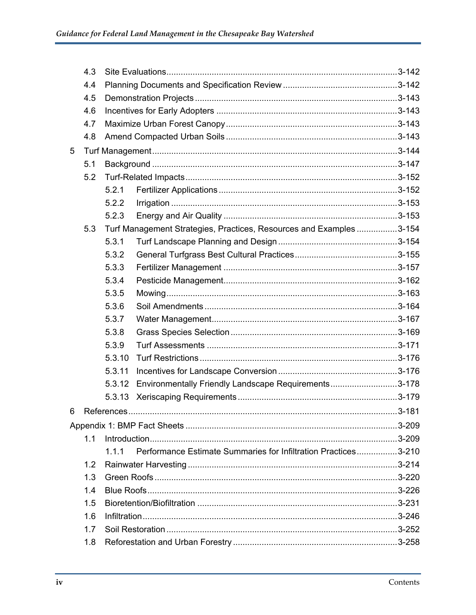|   | 4.3 |            |                                                                     |           |
|---|-----|------------|---------------------------------------------------------------------|-----------|
|   | 4.4 |            |                                                                     |           |
|   | 4.5 |            |                                                                     |           |
|   | 4.6 |            |                                                                     |           |
|   | 4.7 |            |                                                                     |           |
|   | 4.8 |            |                                                                     |           |
| 5 |     |            |                                                                     |           |
|   | 5.1 |            |                                                                     |           |
|   | 5.2 |            |                                                                     |           |
|   |     | 5.2.1      |                                                                     |           |
|   |     | 5.2.2      |                                                                     |           |
|   |     | 5.2.3      |                                                                     |           |
|   | 5.3 |            | Turf Management Strategies, Practices, Resources and Examples 3-154 |           |
|   |     | 5.3.1      |                                                                     |           |
|   |     | 5.3.2      |                                                                     |           |
|   |     | 5.3.3      |                                                                     |           |
|   |     | 5.3.4      |                                                                     |           |
|   |     | 5.3.5      |                                                                     |           |
|   |     | 5.3.6      |                                                                     |           |
|   |     | 5.3.7      |                                                                     |           |
|   |     | 5.3.8      |                                                                     |           |
|   |     | 5.3.9      |                                                                     |           |
|   |     | 5.3.10     |                                                                     |           |
|   |     | 5.3.11     |                                                                     |           |
|   |     | 5.3.12     | Environmentally Friendly Landscape Requirements3-178                |           |
|   |     | 5.3.13     |                                                                     |           |
| 6 |     | References |                                                                     | $3 - 181$ |
|   |     |            |                                                                     |           |
|   | 1.1 |            |                                                                     |           |
|   |     | 1.1.1      | Performance Estimate Summaries for Infiltration Practices3-210      |           |
|   | 1.2 |            |                                                                     |           |
|   | 1.3 |            |                                                                     |           |
|   | 1.4 |            |                                                                     |           |
|   | 1.5 |            |                                                                     |           |
|   | 1.6 |            |                                                                     |           |
|   | 1.7 |            |                                                                     |           |
|   | 1.8 |            |                                                                     |           |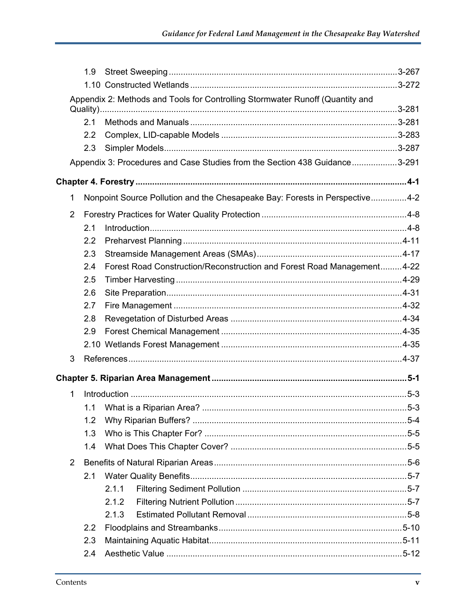|                                                                               | 1.9 <sup>°</sup> |                                                                             |  |  |
|-------------------------------------------------------------------------------|------------------|-----------------------------------------------------------------------------|--|--|
|                                                                               |                  |                                                                             |  |  |
| Appendix 2: Methods and Tools for Controlling Stormwater Runoff (Quantity and |                  |                                                                             |  |  |
|                                                                               | 2.1              |                                                                             |  |  |
|                                                                               | $2.2\phantom{0}$ |                                                                             |  |  |
|                                                                               | 2.3              |                                                                             |  |  |
|                                                                               |                  | Appendix 3: Procedures and Case Studies from the Section 438 Guidance3-291  |  |  |
|                                                                               |                  |                                                                             |  |  |
| 1                                                                             |                  | Nonpoint Source Pollution and the Chesapeake Bay: Forests in Perspective4-2 |  |  |
| 2                                                                             |                  |                                                                             |  |  |
|                                                                               | 2.1              |                                                                             |  |  |
|                                                                               | 2.2              |                                                                             |  |  |
|                                                                               | 2.3              |                                                                             |  |  |
|                                                                               | 2.4              | Forest Road Construction/Reconstruction and Forest Road Management4-22      |  |  |
|                                                                               | 2.5              |                                                                             |  |  |
|                                                                               | 2.6              |                                                                             |  |  |
|                                                                               | 2.7              |                                                                             |  |  |
|                                                                               | 2.8              |                                                                             |  |  |
|                                                                               | 2.9              |                                                                             |  |  |
|                                                                               |                  |                                                                             |  |  |
| 3                                                                             |                  |                                                                             |  |  |
|                                                                               |                  |                                                                             |  |  |
| 1                                                                             |                  |                                                                             |  |  |
|                                                                               |                  |                                                                             |  |  |
|                                                                               | 1.2              |                                                                             |  |  |
|                                                                               | 1.3              |                                                                             |  |  |
|                                                                               | 1.4              |                                                                             |  |  |
| $\overline{2}$                                                                |                  |                                                                             |  |  |
|                                                                               | 2.1              |                                                                             |  |  |
|                                                                               |                  | 2.1.1                                                                       |  |  |
|                                                                               |                  | 2.1.2                                                                       |  |  |
|                                                                               |                  | 2.1.3                                                                       |  |  |
|                                                                               | $2.2^{\circ}$    |                                                                             |  |  |
|                                                                               | 2.3              |                                                                             |  |  |
|                                                                               | 2.4              |                                                                             |  |  |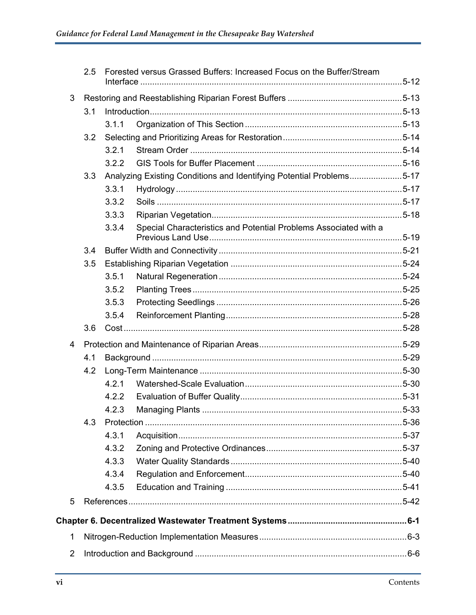|                | 2.5 | Forested versus Grassed Buffers: Increased Focus on the Buffer/Stream     |  |
|----------------|-----|---------------------------------------------------------------------------|--|
| 3              |     |                                                                           |  |
|                | 3.1 |                                                                           |  |
|                |     | 3.1.1                                                                     |  |
|                | 3.2 |                                                                           |  |
|                |     | 3.2.1                                                                     |  |
|                |     | 3.2.2                                                                     |  |
|                | 3.3 | Analyzing Existing Conditions and Identifying Potential Problems5-17      |  |
|                |     | 3.3.1                                                                     |  |
|                |     | 3.3.2                                                                     |  |
|                |     | 3.3.3                                                                     |  |
|                |     | Special Characteristics and Potential Problems Associated with a<br>3.3.4 |  |
|                | 3.4 |                                                                           |  |
|                | 3.5 |                                                                           |  |
|                |     | 3.5.1                                                                     |  |
|                |     | 3.5.2                                                                     |  |
|                |     | 3.5.3                                                                     |  |
|                |     | 3.5.4                                                                     |  |
|                | 3.6 |                                                                           |  |
| 4              |     |                                                                           |  |
|                | 4.1 |                                                                           |  |
|                | 4.2 |                                                                           |  |
|                |     | 4.2.1                                                                     |  |
|                |     | 4.2.2                                                                     |  |
|                |     | 4.2.3                                                                     |  |
|                | 4.3 |                                                                           |  |
|                |     | 4.3.1                                                                     |  |
|                |     | 4.3.2                                                                     |  |
|                |     | 4.3.3                                                                     |  |
|                |     | 4.3.4                                                                     |  |
|                |     | 4.3.5                                                                     |  |
| 5              |     |                                                                           |  |
|                |     |                                                                           |  |
| 1              |     |                                                                           |  |
| $\overline{2}$ |     |                                                                           |  |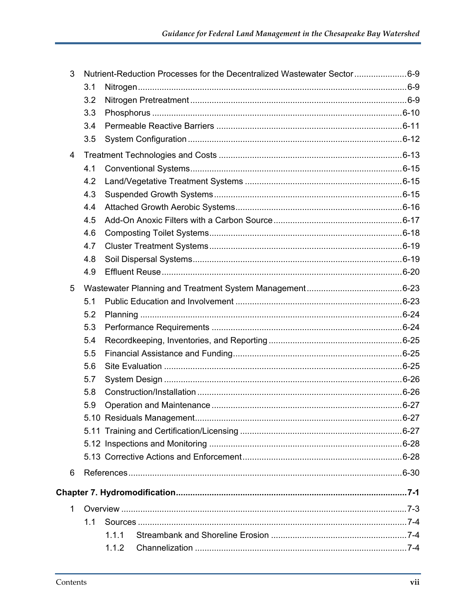| 3 |     | Nutrient-Reduction Processes for the Decentralized Wastewater Sector 6-9 |  |
|---|-----|--------------------------------------------------------------------------|--|
|   | 3.1 |                                                                          |  |
|   | 3.2 |                                                                          |  |
|   | 3.3 |                                                                          |  |
|   | 3.4 |                                                                          |  |
|   | 3.5 |                                                                          |  |
| 4 |     |                                                                          |  |
|   | 4.1 |                                                                          |  |
|   | 4.2 |                                                                          |  |
|   | 4.3 |                                                                          |  |
|   | 4.4 |                                                                          |  |
|   | 4.5 |                                                                          |  |
|   | 4.6 |                                                                          |  |
|   | 4.7 |                                                                          |  |
|   | 4.8 |                                                                          |  |
|   | 4.9 |                                                                          |  |
| 5 |     |                                                                          |  |
|   | 5.1 |                                                                          |  |
|   | 5.2 |                                                                          |  |
|   | 5.3 |                                                                          |  |
|   | 5.4 |                                                                          |  |
|   | 5.5 |                                                                          |  |
|   | 5.6 |                                                                          |  |
|   | 5.7 |                                                                          |  |
|   | 5.8 |                                                                          |  |
|   | 5.9 |                                                                          |  |
|   |     |                                                                          |  |
|   |     |                                                                          |  |
|   |     |                                                                          |  |
|   |     |                                                                          |  |
| 6 |     |                                                                          |  |
|   |     |                                                                          |  |
| 1 |     |                                                                          |  |
|   | 1.1 |                                                                          |  |
|   |     | 1.1.1                                                                    |  |
|   |     | 1.1.2                                                                    |  |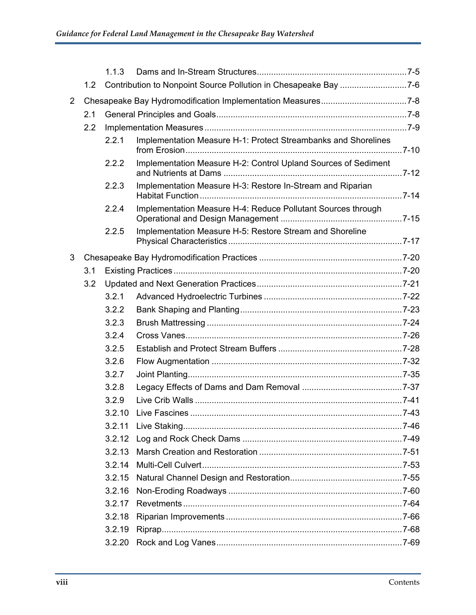|                |                  | 1.1.3  |                                                                 |           |
|----------------|------------------|--------|-----------------------------------------------------------------|-----------|
|                | 1.2 <sub>1</sub> |        | Contribution to Nonpoint Source Pollution in Chesapeake Bay 7-6 |           |
| $\overline{2}$ |                  |        |                                                                 |           |
|                | 2.1              |        |                                                                 |           |
|                | 2.2              |        |                                                                 |           |
|                |                  | 2.2.1  | Implementation Measure H-1: Protect Streambanks and Shorelines  |           |
|                |                  | 2.2.2  | Implementation Measure H-2: Control Upland Sources of Sediment  |           |
|                |                  | 2.2.3  | Implementation Measure H-3: Restore In-Stream and Riparian      |           |
|                |                  | 2.2.4  | Implementation Measure H-4: Reduce Pollutant Sources through    |           |
|                |                  | 2.2.5  | Implementation Measure H-5: Restore Stream and Shoreline        |           |
| 3              |                  |        |                                                                 |           |
|                | 3.1              |        |                                                                 |           |
|                | 3.2              |        |                                                                 |           |
|                |                  | 3.2.1  |                                                                 |           |
|                |                  | 3.2.2  |                                                                 |           |
|                |                  | 3.2.3  |                                                                 |           |
|                |                  | 3.2.4  |                                                                 |           |
|                |                  | 3.2.5  |                                                                 |           |
|                |                  | 3.2.6  |                                                                 |           |
|                |                  | 3.2.7  |                                                                 |           |
|                |                  | 3.2.8  |                                                                 |           |
|                |                  | 3.2.9  |                                                                 |           |
|                |                  |        |                                                                 | $.7 - 43$ |
|                |                  | 3.2.11 |                                                                 |           |
|                |                  | 3.2.12 |                                                                 |           |
|                |                  | 3.2.13 |                                                                 |           |
|                |                  | 3.2.14 |                                                                 |           |
|                |                  | 3.2.15 |                                                                 |           |
|                |                  | 3.2.16 |                                                                 |           |
|                |                  | 3.2.17 |                                                                 |           |
|                |                  | 3.2.18 |                                                                 |           |
|                |                  | 3.2.19 |                                                                 |           |
|                |                  | 3.2.20 |                                                                 |           |